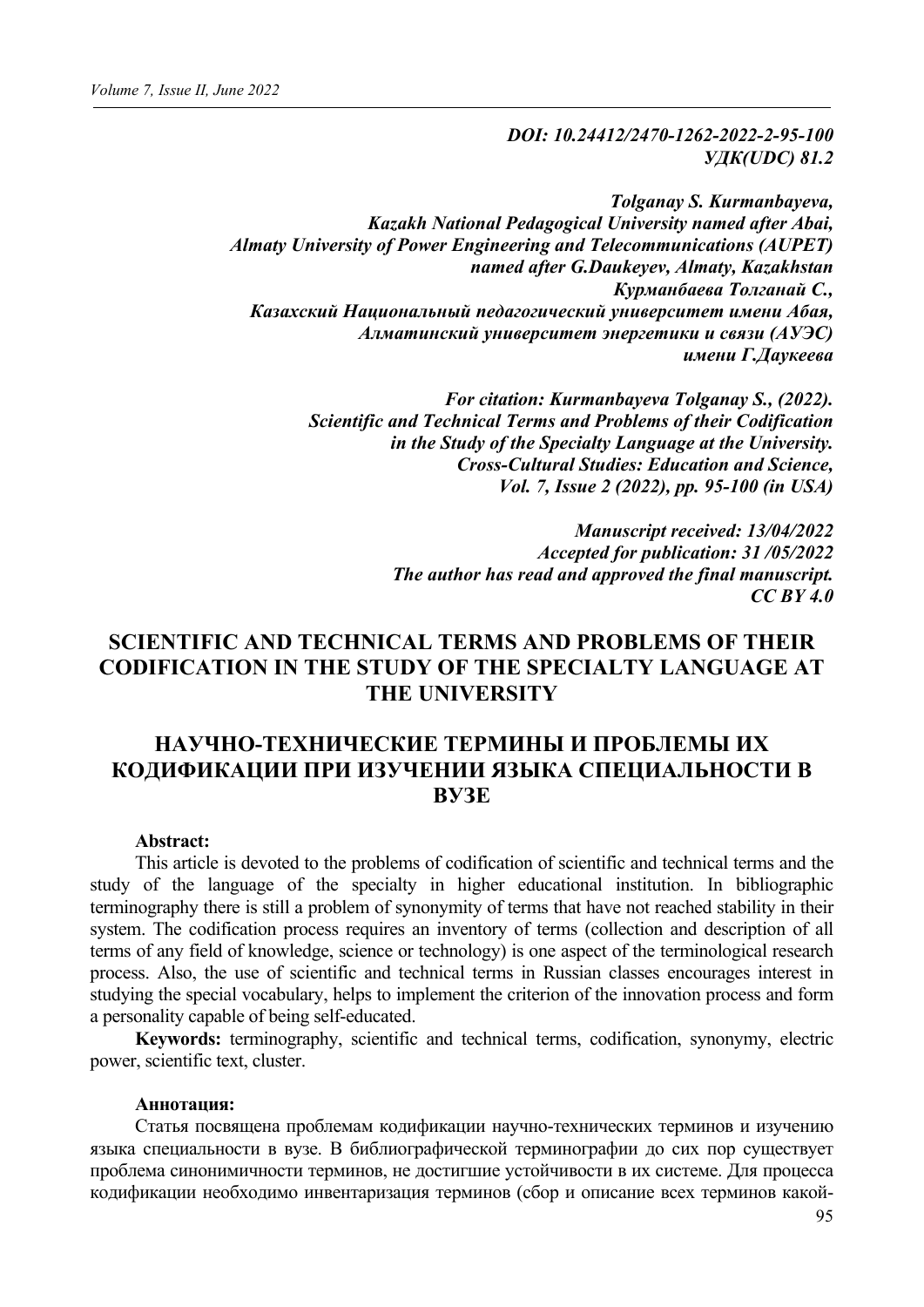*DOI: 10.24412/2470-1262-2022-2-95-100 УДК(UDC) 81.2*

*Tolganay S. Kurmanbayeva, Kazakh National Pedagogical University named after Abai, Almaty University of Power Engineering and Telecommunications (AUPET) named after G.Daukeyev, Almaty, Kazakhstan Курманбаева Толганай С., Казахский Национальный педагогический университет имени Абая, Алматинский университет энергетики и связи (АУЭС) имени Г.Даукеева*

> *For citation: Kurmanbayeva Tolganay S., (2022). Scientific and Technical Terms and Problems of their Codification in the Study of the Specialty Language at the University. Cross-Cultural Studies: Education and Science, Vol. 7, Issue 2 (2022), pp. 95-100 (in USA)*

> > *Manuscript received: 13/04/2022 Accepted for publication: 31 /05/2022 The author has read and approved the final manuscript. CC BY 4.0*

## **SCIENTIFIC AND TECHNICAL TERMS AND PROBLEMS OF THEIR CODIFICATION IN THE STUDY OF THE SPECIALTY LANGUAGE AT THE UNIVERSITY**

# **НАУЧНО-ТЕХНИЧЕСКИЕ ТЕРМИНЫ И ПРОБЛЕМЫ ИХ КОДИФИКАЦИИ ПРИ ИЗУЧЕНИИ ЯЗЫКА СПЕЦИАЛЬНОСТИ В ВУЗЕ**

#### **Abstract:**

This article is devoted to the problems of codification of scientific and technical terms and the study of the language of the specialty in higher educational institution. In bibliographic terminography there is still a problem of synonymity of terms that have not reached stability in their system. The codification process requires an inventory of terms (collection and description of all terms of any field of knowledge, science or technology) is one aspect of the terminological research process. Also, the use of scientific and technical terms in Russian classes encourages interest in studying the special vocabulary, helps to implement the criterion of the innovation process and form a personality capable of being self-educated.

**Keywords:** terminography, scientific and technical terms, codification, synonymy, electric power, scientific text, cluster.

#### **Аннотация:**

Статья посвящена проблемам кодификации научно-технических терминов и изучению языка специальности в вузе. В библиографической терминографии до сих пор существует проблема синонимичности терминов, не достигшие устойчивости в их системе. Для процесса кодификации необходимо инвентаризация терминов (сбор и описание всех терминов какой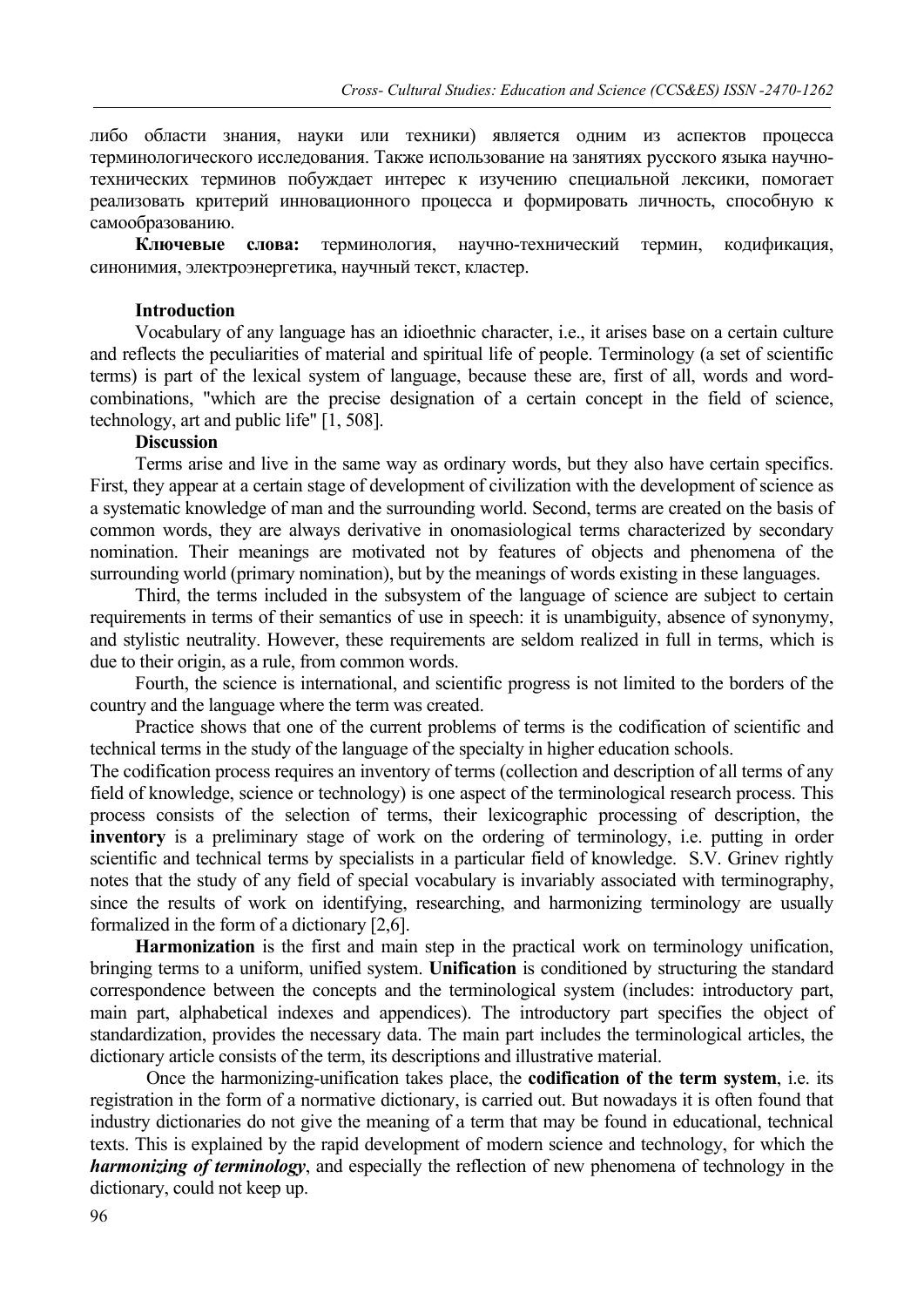либо области знания, науки или техники) является одним из аспектов процесса терминологического исследования. Также использование на занятиях русского языка научнотехнических терминов побуждает интерес к изучению специальной лексики, помогает реализовать критерий инновационного процесса и формировать личность, способную к самообразованию.

**Ключевые слова:** терминология, научно-технический термин, кодификация, синонимия, электроэнергетика, научный текст, кластер.

#### **Introduction**

Vocabulary of any language has an idioethnic character, i.e., it arises base on a certain culture and reflects the peculiarities of material and spiritual life of people. Terminology (a set of scientific terms) is part of the lexical system of language, because these are, first of all, words and wordcombinations, "which are the precise designation of a certain concept in the field of science, technology, art and public life" [1, 508].

### **Discussion**

Terms arise and live in the same way as ordinary words, but they also have certain specifics. First, they appear at a certain stage of development of civilization with the development of science as a systematic knowledge of man and the surrounding world. Second, terms are created on the basis of common words, they are always derivative in onomasiological terms characterized by secondary nomination. Their meanings are motivated not by features of objects and phenomena of the surrounding world (primary nomination), but by the meanings of words existing in these languages.

Third, the terms included in the subsystem of the language of science are subject to certain requirements in terms of their semantics of use in speech: it is unambiguity, absence of synonymy, and stylistic neutrality. However, these requirements are seldom realized in full in terms, which is due to their origin, as a rule, from common words.

Fourth, the science is international, and scientific progress is not limited to the borders of the country and the language where the term was created.

Practice shows that one of the current problems of terms is the codification of scientific and technical terms in the study of the language of the specialty in higher education schools.

The codification process requires an inventory of terms (collection and description of all terms of any field of knowledge, science or technology) is one aspect of the terminological research process. This process consists of the selection of terms, their lexicographic processing of description, the **inventory** is a preliminary stage of work on the ordering of terminology, i.e. putting in order scientific and technical terms by specialists in a particular field of knowledge. S.V. Grinev rightly notes that the study of any field of special vocabulary is invariably associated with terminography, since the results of work on identifying, researching, and harmonizing terminology are usually formalized in the form of a dictionary [2,6].

**Harmonization** is the first and main step in the practical work on terminology unification, bringing terms to a uniform, unified system. **Unification** is conditioned by structuring the standard correspondence between the concepts and the terminological system (includes: introductory part, main part, alphabetical indexes and appendices). The introductory part specifies the object of standardization, provides the necessary data. The main part includes the terminological articles, the dictionary article consists of the term, its descriptions and illustrative material.

Once the harmonizing-unification takes place, the **codification of the term system**, i.e. its registration in the form of a normative dictionary, is carried out. But nowadays it is often found that industry dictionaries do not give the meaning of a term that may be found in educational, technical texts. This is explained by the rapid development of modern science and technology, for which the *harmonizing of terminology*, and especially the reflection of new phenomena of technology in the dictionary, could not keep up.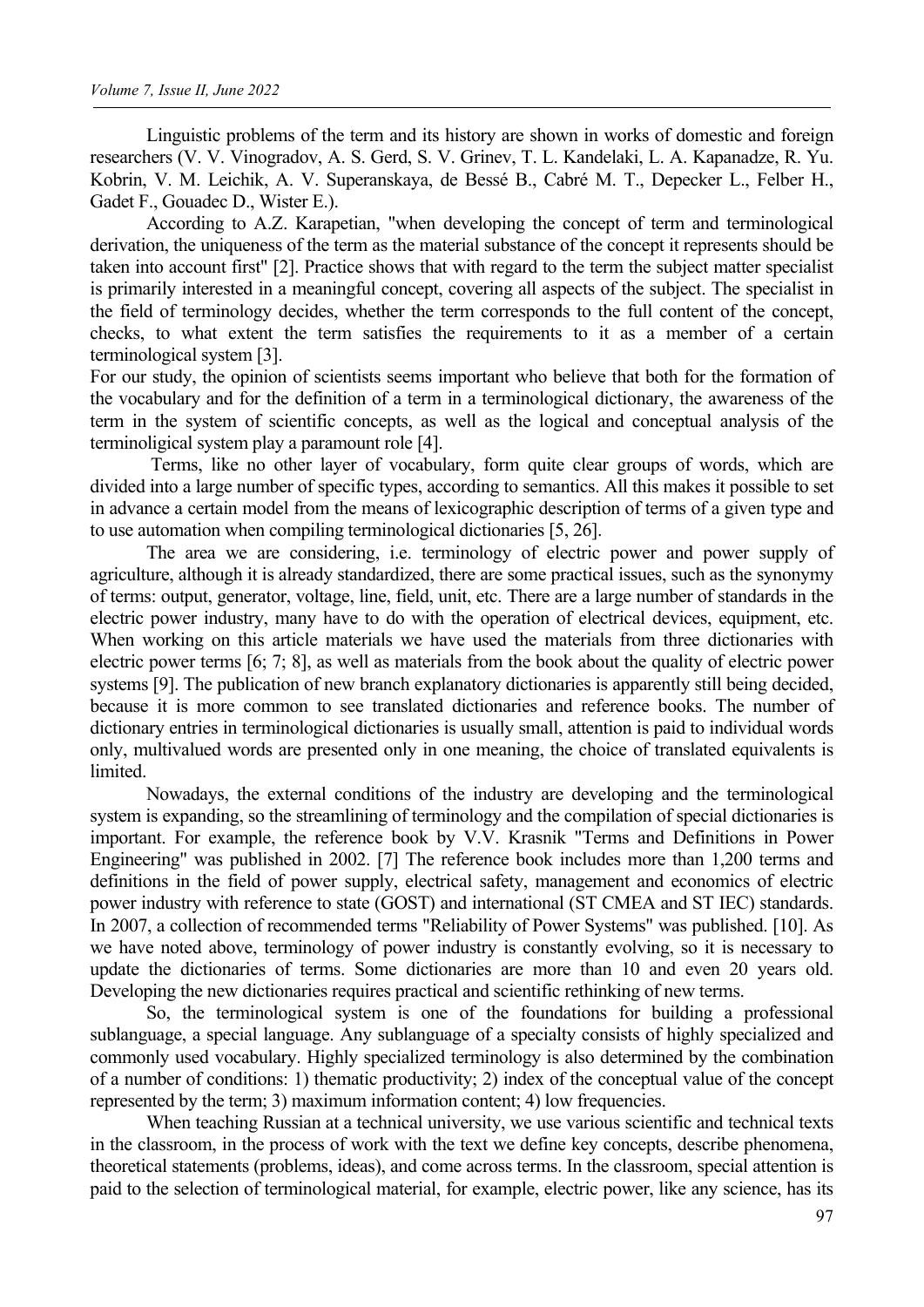Linguistic problems of the term and its history are shown in works of domestic and foreign researchers (V. V. Vinogradov, A. S. Gerd, S. V. Grinev, T. L. Kandelaki, L. A. Kapanadze, R. Yu. Kobrin, V. M. Leichik, A. V. Superanskaya, de Bessé B., Cabré M. T., Depecker L., Felber H., Gadet F., Gouadec D., Wister E.).

According to A.Z. Karapetian, "when developing the concept of term and terminological derivation, the uniqueness of the term as the material substance of the concept it represents should be taken into account first" [2]. Practice shows that with regard to the term the subject matter specialist is primarily interested in a meaningful concept, covering all aspects of the subject. The specialist in the field of terminology decides, whether the term corresponds to the full content of the concept, checks, to what extent the term satisfies the requirements to it as a member of a certain terminological system [3].

For our study, the opinion of scientists seems important who believe that both for the formation of the vocabulary and for the definition of a term in a terminological dictionary, the awareness of the term in the system of scientific concepts, as well as the logical and conceptual analysis of the terminoligical system play a paramount role [4].

Terms, like no other layer of vocabulary, form quite clear groups of words, which are divided into a large number of specific types, according to semantics. All this makes it possible to set in advance a certain model from the means of lexicographic description of terms of a given type and to use automation when compiling terminological dictionaries [5, 26].

The area we are considering, i.e. terminology of electric power and power supply of agriculture, although it is already standardized, there are some practical issues, such as the synonymy of terms: output, generator, voltage, line, field, unit, etc. There are a large number of standards in the electric power industry, many have to do with the operation of electrical devices, equipment, etc. When working on this article materials we have used the materials from three dictionaries with electric power terms [6; 7; 8], as well as materials from the book about the quality of electric power systems [9]. The publication of new branch explanatory dictionaries is apparently still being decided, because it is more common to see translated dictionaries and reference books. The number of dictionary entries in terminological dictionaries is usually small, attention is paid to individual words only, multivalued words are presented only in one meaning, the choice of translated equivalents is limited.

Nowadays, the external conditions of the industry are developing and the terminological system is expanding, so the streamlining of terminology and the compilation of special dictionaries is important. For example, the reference book by V.V. Krasnik "Terms and Definitions in Power Engineering" was published in 2002. [7] The reference book includes more than 1,200 terms and definitions in the field of power supply, electrical safety, management and economics of electric power industry with reference to state (GOST) and international (ST CMEA and ST IEC) standards. In 2007, a collection of recommended terms "Reliability of Power Systems" was published. [10]. As we have noted above, terminology of power industry is constantly evolving, so it is necessary to update the dictionaries of terms. Some dictionaries are more than 10 and even 20 years old. Developing the new dictionaries requires practical and scientific rethinking of new terms.

So, the terminological system is one of the foundations for building a professional sublanguage, a special language. Any sublanguage of a specialty consists of highly specialized and commonly used vocabulary. Highly specialized terminology is also determined by the combination of a number of conditions: 1) thematic productivity; 2) index of the conceptual value of the concept represented by the term; 3) maximum information content; 4) low frequencies.

When teaching Russian at a technical university, we use various scientific and technical texts in the classroom, in the process of work with the text we define key concepts, describe phenomena, theoretical statements (problems, ideas), and come across terms. In the classroom, special attention is paid to the selection of terminological material, for example, electric power, like any science, has its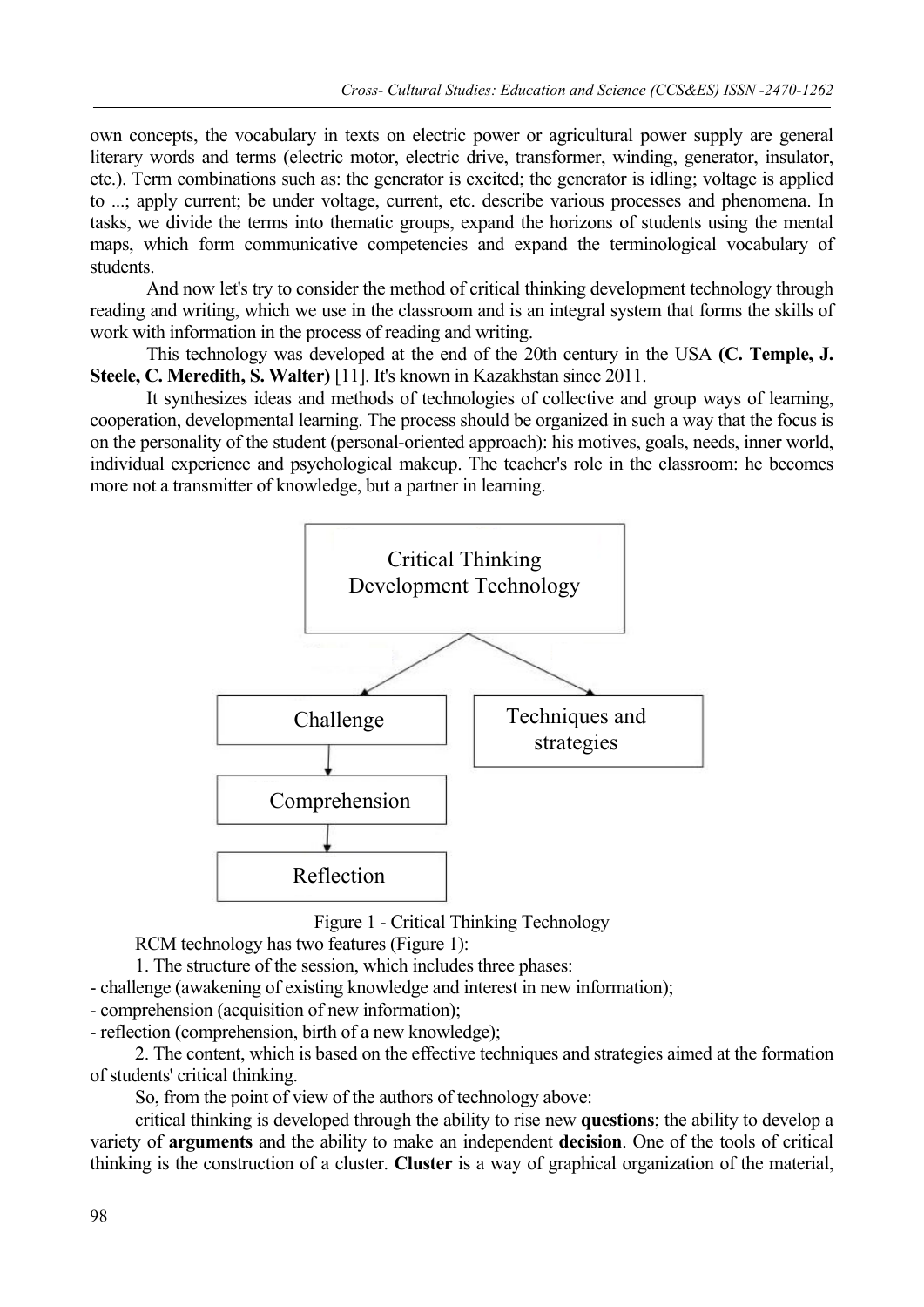own concepts, the vocabulary in texts on electric power or agricultural power supply are general literary words and terms (electric motor, electric drive, transformer, winding, generator, insulator, etc.). Term combinations such as: the generator is excited; the generator is idling; voltage is applied to ...; apply current; be under voltage, current, etc. describe various processes and phenomena. In tasks, we divide the terms into thematic groups, expand the horizons of students using the mental maps, which form communicative competencies and expand the terminological vocabulary of students.

And now let's try to consider the method of critical thinking development technology through reading and writing, which we use in the classroom and is an integral system that forms the skills of work with information in the process of reading and writing.

This technology was developed at the end of the 20th century in the USA **(C. Temple, J. Steele, C. Meredith, S. Walter)** [11]. It's known in Kazakhstan since 2011.

It synthesizes ideas and methods of technologies of collective and group ways of learning, cooperation, developmental learning. The process should be organized in such a way that the focus is on the personality of the student (personal-oriented approach): his motives, goals, needs, inner world, individual experience and psychological makeup. The teacher's role in the classroom: he becomes more not a transmitter of knowledge, but a partner in learning.



Figure 1 - Critical Thinking Technology

RCM technology has two features (Figure 1):

1. The structure of the session, which includes three phases:

- challenge (awakening of existing knowledge and interest in new information);

- comprehension (acquisition of new information);

- reflection (comprehension, birth of a new knowledge);

2. The content, which is based on the effective techniques and strategies aimed at the formation of students' critical thinking.

So, from the point of view of the authors of technology above:

critical thinking is developed through the ability to rise new **questions**; the ability to develop a variety of **arguments** and the ability to make an independent **decision**. One of the tools of critical thinking is the construction of a cluster. **Cluster** is a way of graphical organization of the material,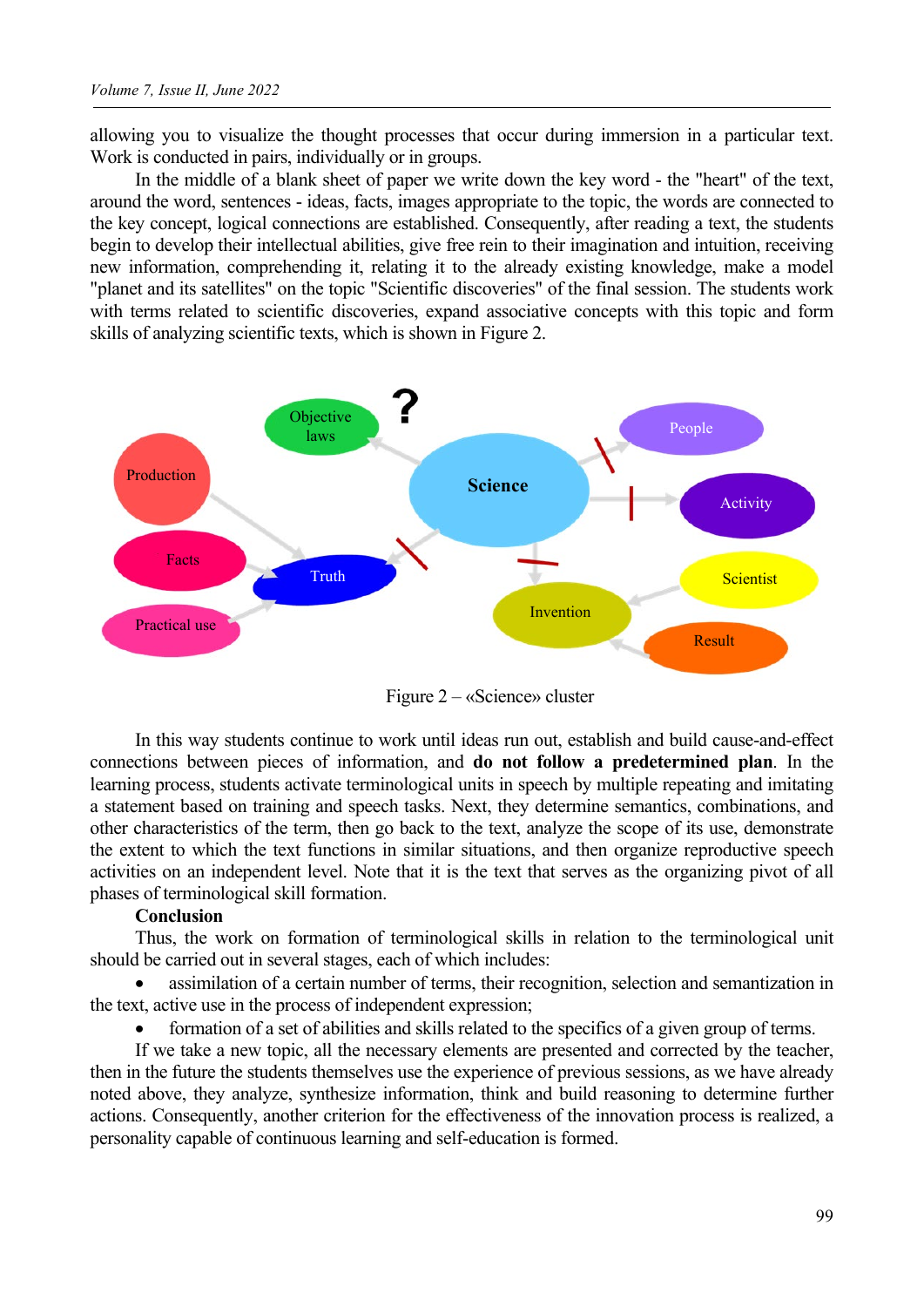allowing you to visualize the thought processes that occur during immersion in a particular text. Work is conducted in pairs, individually or in groups.

In the middle of a blank sheet of paper we write down the key word - the "heart" of the text, around the word, sentences - ideas, facts, images appropriate to the topic, the words are connected to the key concept, logical connections are established. Consequently, after reading a text, the students begin to develop their intellectual abilities, give free rein to their imagination and intuition, receiving new information, comprehending it, relating it to the already existing knowledge, make a model "planet and its satellites" on the topic "Scientific discoveries" of the final session. The students work with terms related to scientific discoveries, expand associative concepts with this topic and form skills of analyzing scientific texts, which is shown in Figure 2.



Figure 2 – «Science» cluster

In this way students continue to work until ideas run out, establish and build cause-and-effect connections between pieces of information, and **do not follow a predetermined plan**. In the learning process, students activate terminological units in speech by multiple repeating and imitating a statement based on training and speech tasks. Next, they determine semantics, combinations, and other characteristics of the term, then go back to the text, analyze the scope of its use, demonstrate the extent to which the text functions in similar situations, and then organize reproductive speech activities on an independent level. Note that it is the text that serves as the organizing pivot of all phases of terminological skill formation.

#### **Conclusion**

Thus, the work on formation of terminological skills in relation to the terminological unit should be carried out in several stages, each of which includes:

• assimilation of a certain number of terms, their recognition, selection and semantization in the text, active use in the process of independent expression;

• formation of a set of abilities and skills related to the specifics of a given group of terms.

If we take a new topic, all the necessary elements are presented and corrected by the teacher, then in the future the students themselves use the experience of previous sessions, as we have already noted above, they analyze, synthesize information, think and build reasoning to determine further actions. Consequently, another criterion for the effectiveness of the innovation process is realized, a personality capable of continuous learning and self-education is formed.